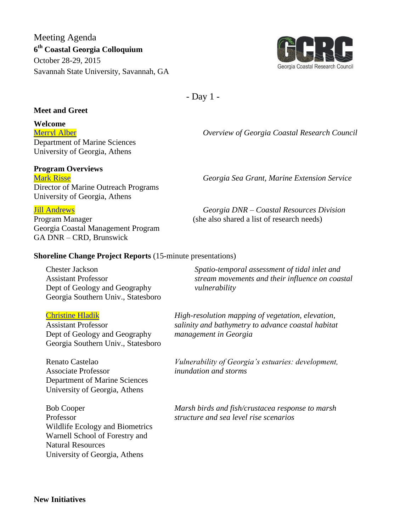Meeting Agenda **6 th Coastal Georgia Colloquium** October 28-29, 2015 Savannah State University, Savannah, GA



- Day 1 -

## **Meet and Greet**

**Welcome**

[Merryl](../../Desktop/GCRC%20Website/Meetings/Colloquium%202015/Alber%20GCRC%20overview.pdf) Alber *Overview of Georgia Coastal Research Council* Department of Marine Sciences University of Georgia, Athens

## **Program Overviews**

Director of Marine Outreach Programs University of Georgia, Athens

Program Manager (she also shared a list of research needs) Georgia Coastal Management Program GA DNR – CRD, Brunswick

[Mark Risse](../../Desktop/GCRC%20Website/Meetings/Colloquium%202015/SITE_REVIEW_PPT_jg2.pdf) *Georgia Sea Grant, Marine Extension Service*

Jill [Andrews](../../Desktop/Colloquium%202015%20Presentations/Session%201/Andrews_Colloquium2015.pdf) *Georgia DNR – Coastal Resources Division*

## **Shoreline Change Project Reports** (15-minute presentations)

Chester Jackson Assistant Professor Dept of Geology and Geography Georgia Southern Univ., Statesboro

## [Christine Hladik](../../Desktop/Colloquium%202015%20Presentations/Session%201/Hladik_GCRC.pdf)

Assistant Professor Dept of Geology and Geography Georgia Southern Univ., Statesboro

Renato Castelao Associate Professor Department of Marine Sciences University of Georgia, Athens

Bob Cooper Professor Wildlife Ecology and Biometrics Warnell School of Forestry and Natural Resources University of Georgia, Athens

*Spatio-temporal assessment of tidal inlet and stream movements and their influence on coastal vulnerability*

*High-resolution mapping of vegetation, elevation, salinity and bathymetry to advance coastal habitat management in Georgia*

*Vulnerability of Georgia's estuaries: development, inundation and storms* 

*Marsh birds and fish/crustacea response to marsh structure and sea level rise scenarios*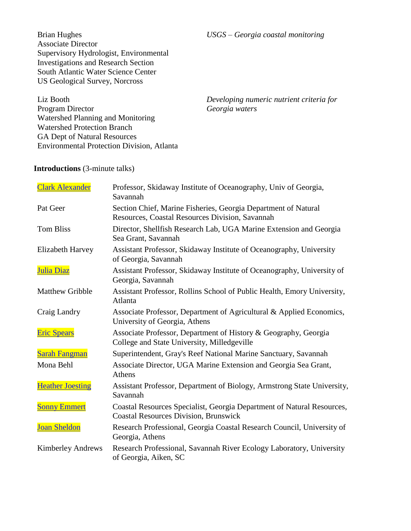*USGS – Georgia coastal monitoring*

Brian Hughes Associate Director Supervisory Hydrologist, Environmental Investigations and Research Section South Atlantic Water Science Center US Geological Survey, Norcross

Liz Booth Program Director Watershed Planning and Monitoring Watershed Protection Branch GA Dept of Natural Resources Environmental Protection Division, Atlanta *Developing numeric nutrient criteria for Georgia waters*

## **Introductions** (3-minute talks)

| <b>Clark Alexander</b>   | Professor, Skidaway Institute of Oceanography, Univ of Georgia,<br>Savannah                                            |
|--------------------------|------------------------------------------------------------------------------------------------------------------------|
| Pat Geer                 | Section Chief, Marine Fisheries, Georgia Department of Natural<br>Resources, Coastal Resources Division, Savannah      |
| <b>Tom Bliss</b>         | Director, Shellfish Research Lab, UGA Marine Extension and Georgia<br>Sea Grant, Savannah                              |
| <b>Elizabeth Harvey</b>  | Assistant Professor, Skidaway Institute of Oceanography, University<br>of Georgia, Savannah                            |
| Julia Diaz               | Assistant Professor, Skidaway Institute of Oceanography, University of<br>Georgia, Savannah                            |
| <b>Matthew Gribble</b>   | Assistant Professor, Rollins School of Public Health, Emory University,<br>Atlanta                                     |
| Craig Landry             | Associate Professor, Department of Agricultural & Applied Economics,<br>University of Georgia, Athens                  |
| <b>Eric Spears</b>       | Associate Professor, Department of History & Geography, Georgia<br>College and State University, Milledgeville         |
| <b>Sarah Fangman</b>     | Superintendent, Gray's Reef National Marine Sanctuary, Savannah                                                        |
| Mona Behl                | Associate Director, UGA Marine Extension and Georgia Sea Grant,<br>Athens                                              |
| <b>Heather Joesting</b>  | Assistant Professor, Department of Biology, Armstrong State University,<br>Savannah                                    |
| <b>Sonny Emmert</b>      | Coastal Resources Specialist, Georgia Department of Natural Resources,<br><b>Coastal Resources Division, Brunswick</b> |
| <b>Joan Sheldon</b>      | Research Professional, Georgia Coastal Research Council, University of<br>Georgia, Athens                              |
| <b>Kimberley Andrews</b> | Research Professional, Savannah River Ecology Laboratory, University<br>of Georgia, Aiken, SC                          |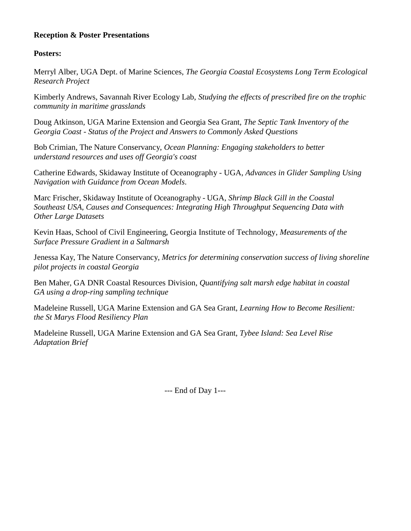## **Reception & Poster Presentations**

## **Posters:**

Merryl Alber, UGA Dept. of Marine Sciences, *The Georgia Coastal Ecosystems Long Term Ecological Research Project*

Kimberly Andrews, Savannah River Ecology Lab, *Studying the effects of prescribed fire on the trophic community in maritime grasslands*

Doug Atkinson, UGA Marine Extension and Georgia Sea Grant, *The Septic Tank Inventory of the Georgia Coast - Status of the Project and Answers to Commonly Asked Questions*

Bob Crimian, The Nature Conservancy, *Ocean Planning: Engaging stakeholders to better understand resources and uses off Georgia's coast*

Catherine Edwards, Skidaway Institute of Oceanography - UGA, *Advances in Glider Sampling Using Navigation with Guidance from Ocean Models*.

Marc Frischer, Skidaway Institute of Oceanography - UGA, *Shrimp Black Gill in the Coastal Southeast USA, Causes and Consequences: Integrating High Throughput Sequencing Data with Other Large Datasets*

Kevin Haas, School of Civil Engineering, Georgia Institute of Technology, *Measurements of the Surface Pressure Gradient in a Saltmarsh*

Jenessa Kay, The Nature Conservancy, *Metrics for determining conservation success of living shoreline pilot projects in coastal Georgia*

Ben Maher, GA DNR Coastal Resources Division, *Quantifying salt marsh edge habitat in coastal GA using a drop-ring sampling technique*

Madeleine Russell, UGA Marine Extension and GA Sea Grant, *Learning How to Become Resilient: the St Marys Flood Resiliency Plan*

Madeleine Russell, UGA Marine Extension and GA Sea Grant, *Tybee Island: Sea Level Rise Adaptation Brief*

--- End of Day 1---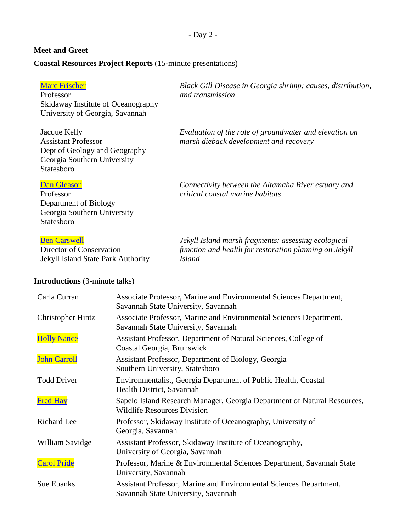- Day 2 -

# **Meet and Greet**

# **Coastal Resources Project Reports** (15-minute presentations)

| <b>Marc Frischer</b><br>Professor<br>Skidaway Institute of Oceanography<br>University of Georgia, Savannah               | Black Gill Disease in Georgia shrimp: causes, distribution,<br>and transmission                                                |
|--------------------------------------------------------------------------------------------------------------------------|--------------------------------------------------------------------------------------------------------------------------------|
| Jacque Kelly<br><b>Assistant Professor</b><br>Dept of Geology and Geography<br>Georgia Southern University<br>Statesboro | Evaluation of the role of groundwater and elevation on<br>marsh dieback development and recovery                               |
| <b>Dan Gleason</b><br>Professor<br>Department of Biology<br>Georgia Southern University<br>Statesboro                    | Connectivity between the Altamaha River estuary and<br>critical coastal marine habitats                                        |
| <b>Ben Carswell</b><br>Director of Conservation<br>Jekyll Island State Park Authority                                    | Jekyll Island marsh fragments: assessing ecological<br>function and health for restoration planning on Jekyll<br><b>Island</b> |

# **Introductions** (3-minute talks)

| Carla Curran             | Associate Professor, Marine and Environmental Sciences Department,<br>Savannah State University, Savannah      |
|--------------------------|----------------------------------------------------------------------------------------------------------------|
| <b>Christopher Hintz</b> | Associate Professor, Marine and Environmental Sciences Department,<br>Savannah State University, Savannah      |
| <b>Holly Nance</b>       | Assistant Professor, Department of Natural Sciences, College of<br>Coastal Georgia, Brunswick                  |
| <b>John Carroll</b>      | Assistant Professor, Department of Biology, Georgia<br>Southern University, Statesboro                         |
| <b>Todd Driver</b>       | Environmentalist, Georgia Department of Public Health, Coastal<br>Health District, Savannah                    |
| <b>Fred Hay</b>          | Sapelo Island Research Manager, Georgia Department of Natural Resources,<br><b>Wildlife Resources Division</b> |
| Richard Lee              | Professor, Skidaway Institute of Oceanography, University of<br>Georgia, Savannah                              |
| William Savidge          | Assistant Professor, Skidaway Institute of Oceanography,<br>University of Georgia, Savannah                    |
| <b>Carol Pride</b>       | Professor, Marine & Environmental Sciences Department, Savannah State<br>University, Savannah                  |
| Sue Ebanks               | Assistant Professor, Marine and Environmental Sciences Department,<br>Savannah State University, Savannah      |